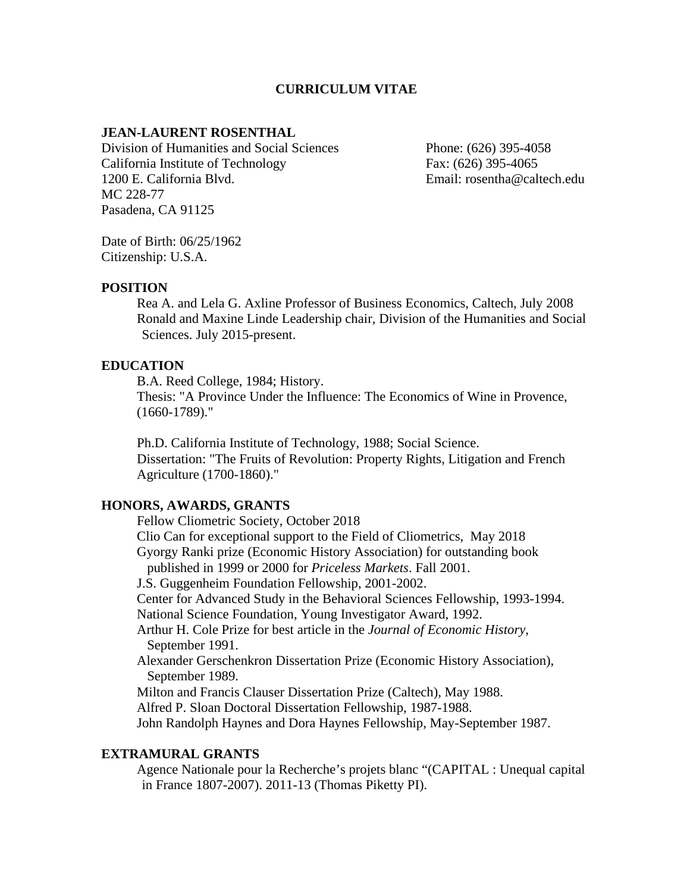# **CURRICULUM VITAE**

### **JEAN-LAURENT ROSENTHAL**

Division of Humanities and Social Sciences Phone: (626) 395-4058 California Institute of Technology Fax: (626) 395-4065 1200 E. California Blvd. Email: rosentha@caltech.edu MC 228-77 Pasadena, CA 91125

Date of Birth: 06/25/1962 Citizenship: U.S.A.

### **POSITION**

Rea A. and Lela G. Axline Professor of Business Economics, Caltech, July 2008 Ronald and Maxine Linde Leadership chair, Division of the Humanities and Social Sciences. July 2015-present.

### **EDUCATION**

B.A. Reed College, 1984; History.

Thesis: "A Province Under the Influence: The Economics of Wine in Provence, (1660-1789)."

Ph.D. California Institute of Technology, 1988; Social Science. Dissertation: "The Fruits of Revolution: Property Rights, Litigation and French Agriculture (1700-1860)."

### **HONORS, AWARDS, GRANTS**

Fellow Cliometric Society, October 2018 Clio Can for exceptional support to the Field of Cliometrics, May 2018 Gyorgy Ranki prize (Economic History Association) for outstanding book published in 1999 or 2000 for *Priceless Markets*. Fall 2001. J.S. Guggenheim Foundation Fellowship, 2001-2002. Center for Advanced Study in the Behavioral Sciences Fellowship, 1993-1994. National Science Foundation, Young Investigator Award, 1992. Arthur H. Cole Prize for best article in the *Journal of Economic History*, September 1991. Alexander Gerschenkron Dissertation Prize (Economic History Association), September 1989. Milton and Francis Clauser Dissertation Prize (Caltech), May 1988. Alfred P. Sloan Doctoral Dissertation Fellowship, 1987-1988. John Randolph Haynes and Dora Haynes Fellowship, May-September 1987.

#### **EXTRAMURAL GRANTS**

Agence Nationale pour la Recherche's projets blanc "(CAPITAL : Unequal capital in France 1807-2007). 2011-13 (Thomas Piketty PI).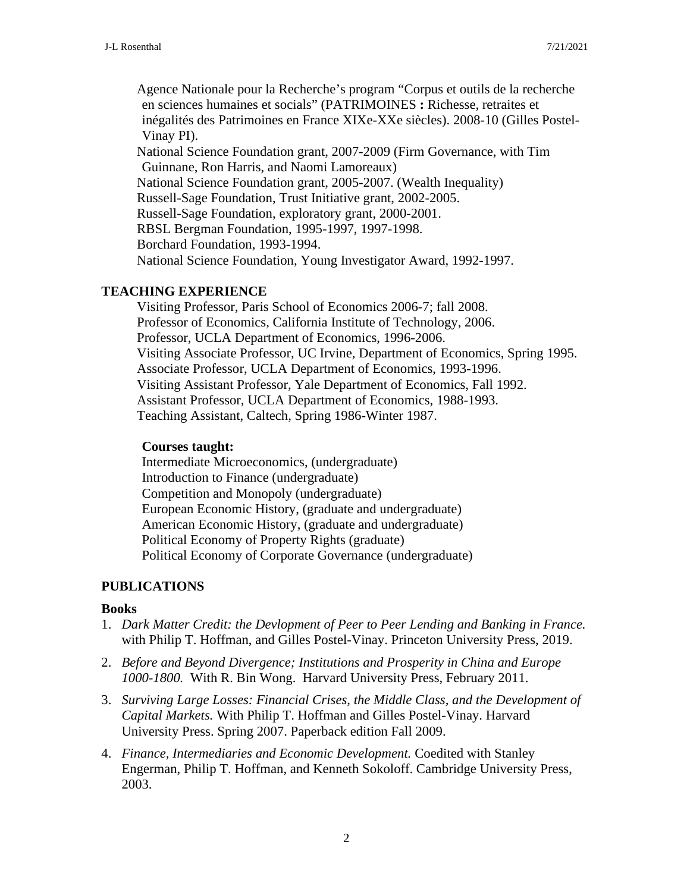Agence Nationale pour la Recherche's program "Corpus et outils de la recherche en sciences humaines et socials" (PATRIMOINES **:** Richesse, retraites et inégalités des Patrimoines en France XIXe-XXe siècles). 2008-10 (Gilles Postel-Vinay PI). National Science Foundation grant, 2007-2009 (Firm Governance, with Tim Guinnane, Ron Harris, and Naomi Lamoreaux) National Science Foundation grant, 2005-2007. (Wealth Inequality) Russell-Sage Foundation, Trust Initiative grant, 2002-2005. Russell-Sage Foundation, exploratory grant, 2000-2001. RBSL Bergman Foundation, 1995-1997, 1997-1998. Borchard Foundation, 1993-1994. National Science Foundation, Young Investigator Award, 1992-1997.

# **TEACHING EXPERIENCE**

Visiting Professor, Paris School of Economics 2006-7; fall 2008. Professor of Economics, California Institute of Technology, 2006. Professor, UCLA Department of Economics, 1996-2006. Visiting Associate Professor, UC Irvine, Department of Economics, Spring 1995. Associate Professor, UCLA Department of Economics, 1993-1996. Visiting Assistant Professor, Yale Department of Economics, Fall 1992. Assistant Professor, UCLA Department of Economics, 1988-1993. Teaching Assistant, Caltech, Spring 1986-Winter 1987.

# **Courses taught:**

Intermediate Microeconomics, (undergraduate) Introduction to Finance (undergraduate) Competition and Monopoly (undergraduate) European Economic History, (graduate and undergraduate) American Economic History, (graduate and undergraduate) Political Economy of Property Rights (graduate) Political Economy of Corporate Governance (undergraduate)

# **PUBLICATIONS**

# **Books**

- 1. *Dark Matter Credit: the Devlopment of Peer to Peer Lending and Banking in France.* with Philip T. Hoffman, and Gilles Postel-Vinay. Princeton University Press, 2019.
- 2. *Before and Beyond Divergence; Institutions and Prosperity in China and Europe 1000-1800.* With R. Bin Wong. Harvard University Press, February 2011.
- 3. *Surviving Large Losses: Financial Crises, the Middle Class, and the Development of Capital Markets.* With Philip T. Hoffman and Gilles Postel-Vinay. Harvard University Press. Spring 2007. Paperback edition Fall 2009.
- 4. *Finance, Intermediaries and Economic Development.* Coedited with Stanley Engerman, Philip T. Hoffman, and Kenneth Sokoloff. Cambridge University Press, 2003.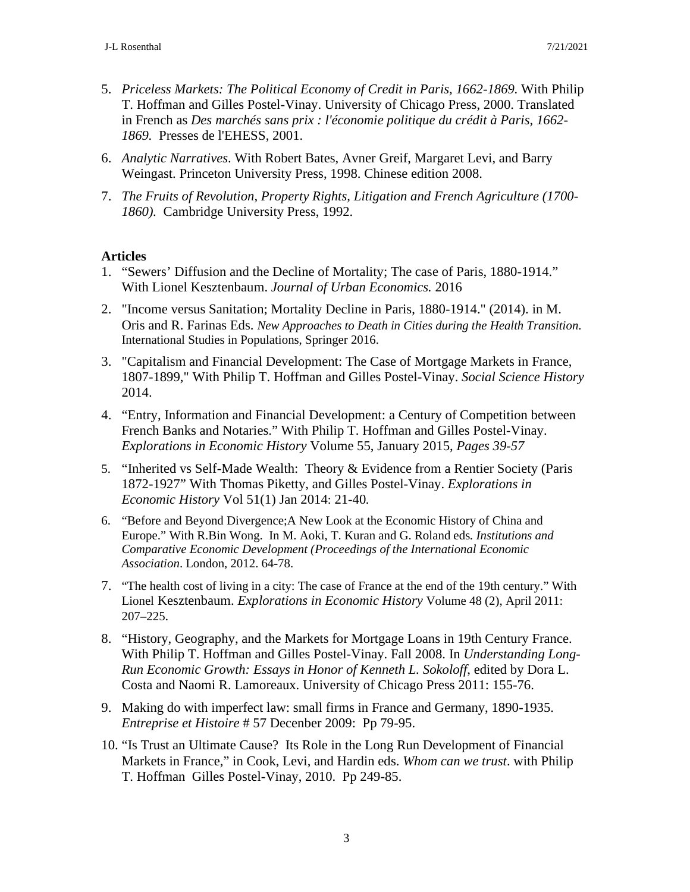- 5. *Priceless Markets: The Political Economy of Credit in Paris, 1662-1869.* With Philip T. Hoffman and Gilles Postel-Vinay. University of Chicago Press, 2000. Translated in French as *Des marchés sans prix : l'économie politique du crédit à Paris, 1662- 1869.* Presses de l'EHESS, 2001.
- 6. *Analytic Narratives*. With Robert Bates, Avner Greif, Margaret Levi, and Barry Weingast. Princeton University Press, 1998. Chinese edition 2008.
- 7. *The Fruits of Revolution, Property Rights, Litigation and French Agriculture (1700- 1860).* Cambridge University Press, 1992.

# **Articles**

- 1. "Sewers' Diffusion and the Decline of Mortality; The case of Paris, 1880-1914." With Lionel Kesztenbaum. *Journal of Urban Economics.* 2016
- 2. "Income versus Sanitation; Mortality Decline in Paris, 1880-1914." (2014). in M. Oris and R. Farinas Eds. *New Approaches to Death in Cities during the Health Transition*. International Studies in Populations, Springer 2016.
- 3. "Capitalism and Financial Development: The Case of Mortgage Markets in France, 1807-1899," With Philip T. Hoffman and Gilles Postel-Vinay. *Social Science History*  2014.
- 4. "Entry, Information and Financial Development: a Century of Competition between French Banks and Notaries." With Philip T. Hoffman and Gilles Postel-Vinay. *Explorations in Economic History* Volume 55, January 2015, *Pages 39-57*
- 5. "Inherited vs Self-Made Wealth: Theory & Evidence from a Rentier Society (Paris 1872-1927" With Thomas Piketty, and Gilles Postel-Vinay. *Explorations in Economic History* Vol 51(1) Jan 2014: 21-40*.*
- 6. "Before and Beyond Divergence;A New Look at the Economic History of China and Europe." With R.Bin Wong. In M. Aoki, T. Kuran and G. Roland eds*. Institutions and Comparative Economic Development (Proceedings of the International Economic Association*. London, 2012. 64-78.
- 7. "The health cost of living in a city: The case of France at the end of the 19th century." With Lionel Kesztenbaum. *Explorations in Economic History* Volume 48 (2), April 2011: 207–225.
- 8. "History, Geography, and the Markets for Mortgage Loans in 19th Century France. With Philip T. Hoffman and Gilles Postel-Vinay. Fall 2008. In *Understanding Long-Run Economic Growth: Essays in Honor of Kenneth L. Sokoloff*, edited by Dora L. Costa and Naomi R. Lamoreaux. University of Chicago Press 2011: 155-76.
- 9. Making do with imperfect law: small firms in France and Germany, 1890-1935. *Entreprise et Histoire* # 57 Decenber 2009: Pp 79-95.
- 10. "Is Trust an Ultimate Cause? Its Role in the Long Run Development of Financial Markets in France," in Cook, Levi, and Hardin eds. *Whom can we trust*. with Philip T. Hoffman Gilles Postel-Vinay, 2010. Pp 249-85.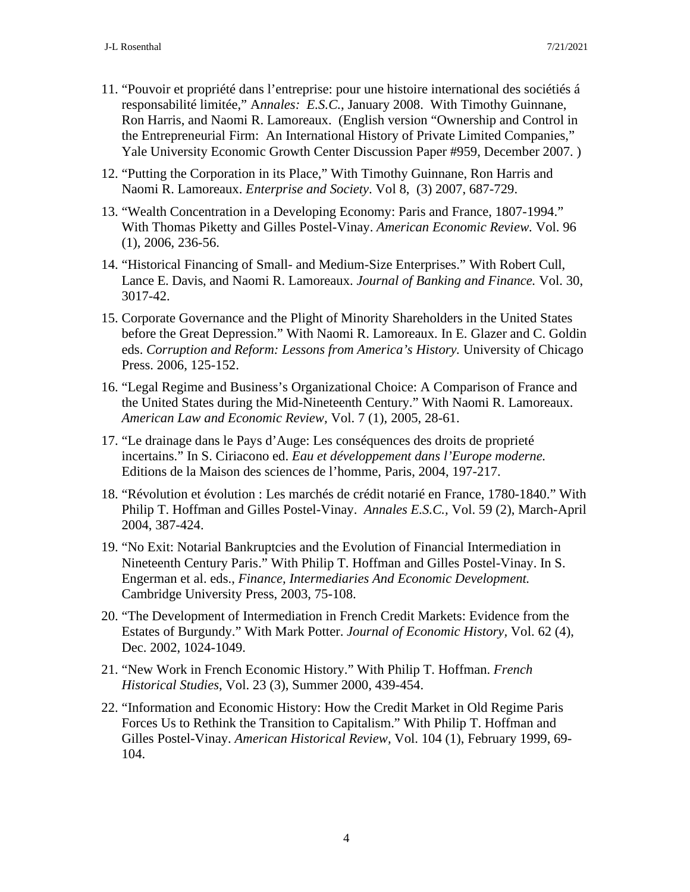- 11. "Pouvoir et propriété dans l'entreprise: pour une histoire international des sociétiés á responsabilité limitée," A*nnales: E.S.C.*, January 2008. With Timothy Guinnane, Ron Harris, and Naomi R. Lamoreaux. (English version "Ownership and Control in the Entrepreneurial Firm: An International History of Private Limited Companies," Yale University Economic Growth Center Discussion Paper #959, December 2007. )
- 12. "Putting the Corporation in its Place," With Timothy Guinnane, Ron Harris and Naomi R. Lamoreaux. *Enterprise and Society*. Vol 8, (3) 2007, 687-729.
- 13. "Wealth Concentration in a Developing Economy: Paris and France, 1807-1994." With Thomas Piketty and Gilles Postel-Vinay. *American Economic Review.* Vol. 96 (1), 2006, 236-56.
- 14. "Historical Financing of Small- and Medium-Size Enterprises." With Robert Cull, Lance E. Davis, and Naomi R. Lamoreaux. *Journal of Banking and Finance.* Vol. 30, 3017-42.
- 15. Corporate Governance and the Plight of Minority Shareholders in the United States before the Great Depression." With Naomi R. Lamoreaux. In E. Glazer and C. Goldin eds. *Corruption and Reform: Lessons from America's History.* University of Chicago Press. 2006, 125-152.
- 16. "Legal Regime and Business's Organizational Choice: A Comparison of France and the United States during the Mid-Nineteenth Century." With Naomi R. Lamoreaux. *American Law and Economic Review,* Vol. 7 (1), 2005, 28-61.
- 17. "Le drainage dans le Pays d'Auge: Les conséquences des droits de proprieté incertains." In S. Ciriacono ed. *Eau et développement dans l'Europe moderne.* Editions de la Maison des sciences de l'homme, Paris, 2004, 197-217.
- 18. "Révolution et évolution : Les marchés de crédit notarié en France, 1780-1840." With Philip T. Hoffman and Gilles Postel-Vinay. *Annales E.S.C.,* Vol. 59 (2), March-April 2004, 387-424.
- 19. "No Exit: Notarial Bankruptcies and the Evolution of Financial Intermediation in Nineteenth Century Paris." With Philip T. Hoffman and Gilles Postel-Vinay. In S. Engerman et al. eds., *Finance, Intermediaries And Economic Development.* Cambridge University Press, 2003, 75-108.
- 20. "The Development of Intermediation in French Credit Markets: Evidence from the Estates of Burgundy." With Mark Potter. *Journal of Economic History,* Vol. 62 (4), Dec. 2002, 1024-1049.
- 21. "New Work in French Economic History." With Philip T. Hoffman. *French Historical Studies*, Vol. 23 (3), Summer 2000, 439-454.
- 22. "Information and Economic History: How the Credit Market in Old Regime Paris Forces Us to Rethink the Transition to Capitalism." With Philip T. Hoffman and Gilles Postel-Vinay. *American Historical Review,* Vol. 104 (1), February 1999, 69- 104.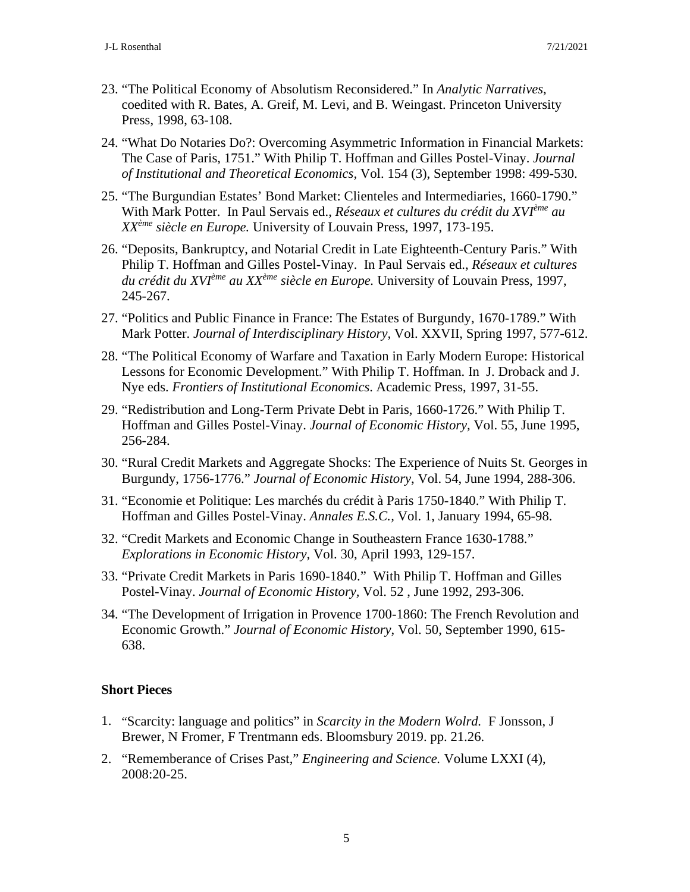- 23. "The Political Economy of Absolutism Reconsidered." In *Analytic Narratives*, coedited with R. Bates, A. Greif, M. Levi, and B. Weingast. Princeton University Press, 1998, 63-108.
- 24. "What Do Notaries Do?: Overcoming Asymmetric Information in Financial Markets: The Case of Paris, 1751." With Philip T. Hoffman and Gilles Postel-Vinay. *Journal of Institutional and Theoretical Economics,* Vol. 154 (3), September 1998: 499-530.
- 25. "The Burgundian Estates' Bond Market: Clienteles and Intermediaries, 1660-1790." With Mark Potter. In Paul Servais ed., *Réseaux et cultures du crédit du XVIème au XXème siècle en Europe.* University of Louvain Press, 1997, 173-195.
- 26. "Deposits, Bankruptcy, and Notarial Credit in Late Eighteenth-Century Paris." With Philip T. Hoffman and Gilles Postel-Vinay. In Paul Servais ed., *Réseaux et cultures du crédit du XVIème au XXème siècle en Europe.* University of Louvain Press, 1997, 245-267.
- 27. "Politics and Public Finance in France: The Estates of Burgundy, 1670-1789." With Mark Potter. *Journal of Interdisciplinary History,* Vol. XXVII, Spring 1997, 577-612.
- 28. "The Political Economy of Warfare and Taxation in Early Modern Europe: Historical Lessons for Economic Development." With Philip T. Hoffman. In J. Droback and J. Nye eds. *Frontiers of Institutional Economics*. Academic Press, 1997, 31-55.
- 29. "Redistribution and Long-Term Private Debt in Paris, 1660-1726." With Philip T. Hoffman and Gilles Postel-Vinay. *Journal of Economic History,* Vol. 55, June 1995, 256-284.
- 30. "Rural Credit Markets and Aggregate Shocks: The Experience of Nuits St. Georges in Burgundy, 1756-1776." *Journal of Economic History*, Vol. 54, June 1994, 288-306.
- 31. "Economie et Politique: Les marchés du crédit à Paris 1750-1840." With Philip T. Hoffman and Gilles Postel-Vinay. *Annales E.S.C.,* Vol. 1, January 1994, 65-98.
- 32. "Credit Markets and Economic Change in Southeastern France 1630-1788." *Explorations in Economic History,* Vol. 30, April 1993, 129-157.
- 33. "Private Credit Markets in Paris 1690-1840." With Philip T. Hoffman and Gilles Postel-Vinay. *Journal of Economic History,* Vol. 52 , June 1992, 293-306.
- 34. "The Development of Irrigation in Provence 1700-1860: The French Revolution and Economic Growth." *Journal of Economic History*, Vol. 50, September 1990, 615- 638.

# **Short Pieces**

- 1. "Scarcity: language and politics" in *Scarcity in the Modern Wolrd.* F Jonsson, J Brewer, N Fromer, F Trentmann eds. Bloomsbury 2019. pp. 21.26.
- 2. "Rememberance of Crises Past," *Engineering and Science.* Volume LXXI (4), 2008:20-25.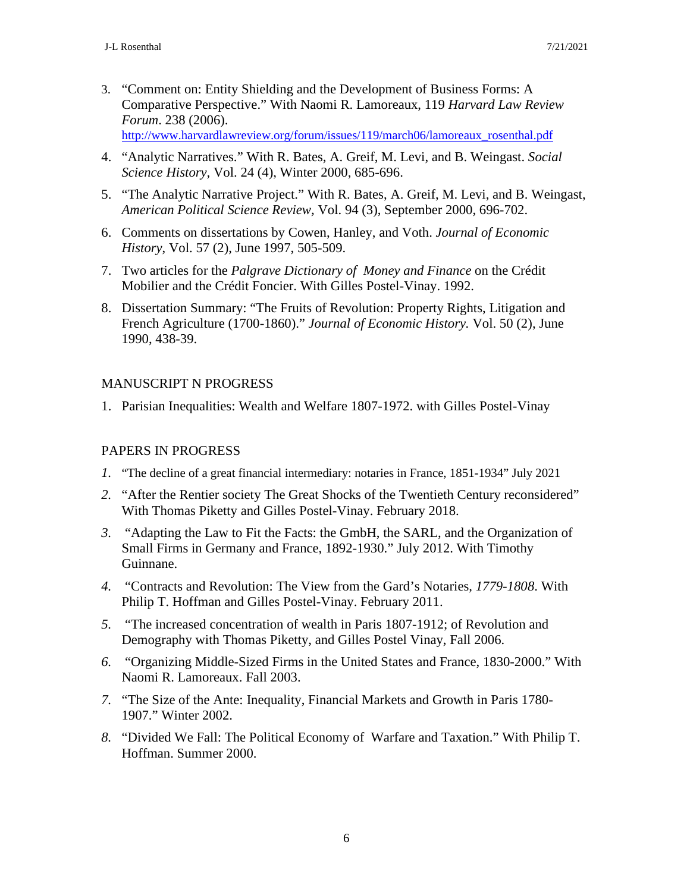- 3. "Comment on: Entity Shielding and the Development of Business Forms: A Comparative Perspective." With Naomi R. Lamoreaux, 119 *Harvard Law Review Forum*. 238 (2006). [http://www.harvardlawreview.org/forum/issues/119/march06/lamoreaux\\_rosenthal.pdf](http://www.harvardlawreview.org/forum/issues/119/march06/lamoreaux_rosenthal.pdf)
- 4. "Analytic Narratives." With R. Bates, A. Greif, M. Levi, and B. Weingast. *Social Science History,* Vol. 24 (4), Winter 2000, 685-696.
- 5. "The Analytic Narrative Project." With R. Bates, A. Greif, M. Levi, and B. Weingast, *American Political Science Review,* Vol. 94 (3), September 2000, 696-702.
- 6. Comments on dissertations by Cowen, Hanley, and Voth. *Journal of Economic History*, Vol. 57 (2), June 1997, 505-509.
- 7. Two articles for the *Palgrave Dictionary of Money and Finance* on the Crédit Mobilier and the Crédit Foncier. With Gilles Postel-Vinay. 1992.
- 8. Dissertation Summary: "The Fruits of Revolution: Property Rights, Litigation and French Agriculture (1700-1860)." *Journal of Economic History.* Vol. 50 (2), June 1990, 438-39.

# MANUSCRIPT N PROGRESS

1. Parisian Inequalities: Wealth and Welfare 1807-1972. with Gilles Postel-Vinay

# PAPERS IN PROGRESS

- *1.* "The decline of a great financial intermediary: notaries in France, 1851-1934" July 2021
- *2.* "After the Rentier society The Great Shocks of the Twentieth Century reconsidered" With Thomas Piketty and Gilles Postel-Vinay. February 2018.
- *3.* "Adapting the Law to Fit the Facts: the GmbH, the SARL, and the Organization of Small Firms in Germany and France, 1892-1930." July 2012. With Timothy Guinnane.
- *4.* "Contracts and Revolution: The View from the Gard's Notaries*, 1779-1808*. With Philip T. Hoffman and Gilles Postel-Vinay. February 2011.
- *5.* "The increased concentration of wealth in Paris 1807-1912; of Revolution and Demography with Thomas Piketty, and Gilles Postel Vinay, Fall 2006.
- *6.* "Organizing Middle-Sized Firms in the United States and France, 1830-2000." With Naomi R. Lamoreaux. Fall 2003.
- *7.* "The Size of the Ante: Inequality, Financial Markets and Growth in Paris 1780- 1907." Winter 2002.
- *8.* "Divided We Fall: The Political Economy of Warfare and Taxation." With Philip T. Hoffman. Summer 2000.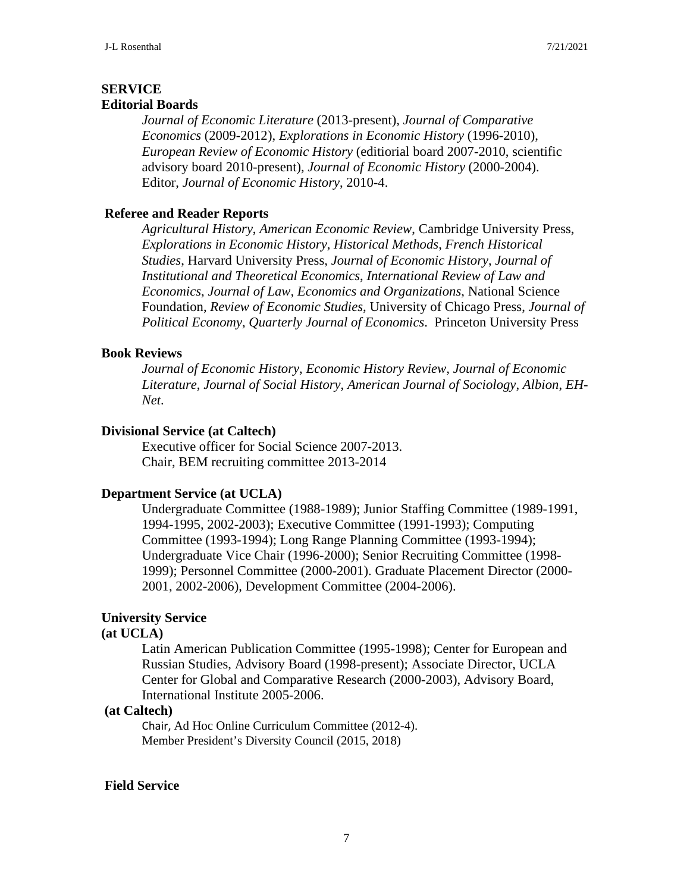### **SERVICE Editorial Boards**

*Journal of Economic Literature* (2013-present), *Journal of Comparative Economics* (2009-2012), *Explorations in Economic History* (1996-2010), *European Review of Economic History* (editiorial board 2007-2010, scientific advisory board 2010-present)*, Journal of Economic History* (2000-2004). Editor, *Journal of Economic History*, 2010-4.

# **Referee and Reader Reports**

*Agricultural History*, *American Economic Review*, Cambridge University Press, *Explorations in Economic History*, *Historical Methods*, *French Historical Studies*, Harvard University Press, *Journal of Economic History*, *Journal of Institutional and Theoretical Economics*, *International Review of Law and Economics*, *Journal of Law, Economics and Organizations*, National Science Foundation, *Review of Economic Studies*, University of Chicago Press, *Journal of Political Economy*, *Quarterly Journal of Economics*. Princeton University Press

### **Book Reviews**

*Journal of Economic History*, *Economic History Review, Journal of Economic Literature*, *Journal of Social History*, *American Journal of Sociology*, *Albion*, *EH-Net*.

### **Divisional Service (at Caltech)**

Executive officer for Social Science 2007-2013. Chair, BEM recruiting committee 2013-2014

# **Department Service (at UCLA)**

Undergraduate Committee (1988-1989); Junior Staffing Committee (1989-1991, 1994-1995, 2002-2003); Executive Committee (1991-1993); Computing Committee (1993-1994); Long Range Planning Committee (1993-1994); Undergraduate Vice Chair (1996-2000); Senior Recruiting Committee (1998- 1999); Personnel Committee (2000-2001). Graduate Placement Director (2000- 2001, 2002-2006), Development Committee (2004-2006).

# **University Service**

### **(at UCLA)**

Latin American Publication Committee (1995-1998); Center for European and Russian Studies, Advisory Board (1998-present); Associate Director, UCLA Center for Global and Comparative Research (2000-2003), Advisory Board, International Institute 2005-2006.

### **(at Caltech)**

Chair, Ad Hoc Online Curriculum Committee (2012-4). Member President's Diversity Council (2015, 2018)

### **Field Service**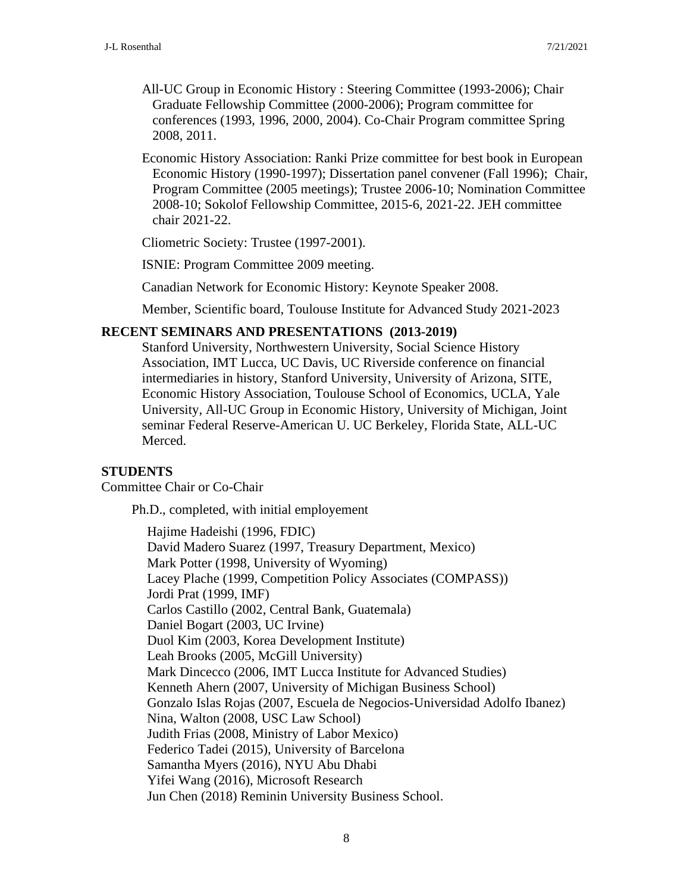- All-UC Group in Economic History : Steering Committee (1993-2006); Chair Graduate Fellowship Committee (2000-2006); Program committee for conferences (1993, 1996, 2000, 2004). Co-Chair Program committee Spring 2008, 2011.
- Economic History Association: Ranki Prize committee for best book in European Economic History (1990-1997); Dissertation panel convener (Fall 1996); Chair, Program Committee (2005 meetings); Trustee 2006-10; Nomination Committee 2008-10; Sokolof Fellowship Committee, 2015-6, 2021-22. JEH committee chair 2021-22.

Cliometric Society: Trustee (1997-2001).

ISNIE: Program Committee 2009 meeting.

Canadian Network for Economic History: Keynote Speaker 2008.

Member, Scientific board, Toulouse Institute for Advanced Study 2021-2023

### **RECENT SEMINARS AND PRESENTATIONS (2013-2019)**

Stanford University, Northwestern University, Social Science History Association, IMT Lucca, UC Davis, UC Riverside conference on financial intermediaries in history, Stanford University, University of Arizona, SITE, Economic History Association, Toulouse School of Economics, UCLA, Yale University, All-UC Group in Economic History, University of Michigan, Joint seminar Federal Reserve-American U. UC Berkeley, Florida State, ALL-UC Merced.

# **STUDENTS**

Committee Chair or Co-Chair

Ph.D., completed, with initial employement

Hajime Hadeishi (1996, FDIC) David Madero Suarez (1997, Treasury Department, Mexico) Mark Potter (1998, University of Wyoming) Lacey Plache (1999, Competition Policy Associates (COMPASS)) Jordi Prat (1999, IMF) Carlos Castillo (2002, Central Bank, Guatemala) Daniel Bogart (2003, UC Irvine) Duol Kim (2003, Korea Development Institute) Leah Brooks (2005, McGill University) Mark Dincecco (2006, IMT Lucca Institute for Advanced Studies) Kenneth Ahern (2007, University of Michigan Business School) Gonzalo Islas Rojas (2007, Escuela de Negocios-Universidad Adolfo Ibanez) Nina, Walton (2008, USC Law School) Judith Frias (2008, Ministry of Labor Mexico) Federico Tadei (2015), University of Barcelona Samantha Myers (2016), NYU Abu Dhabi Yifei Wang (2016), Microsoft Research Jun Chen (2018) Reminin University Business School.